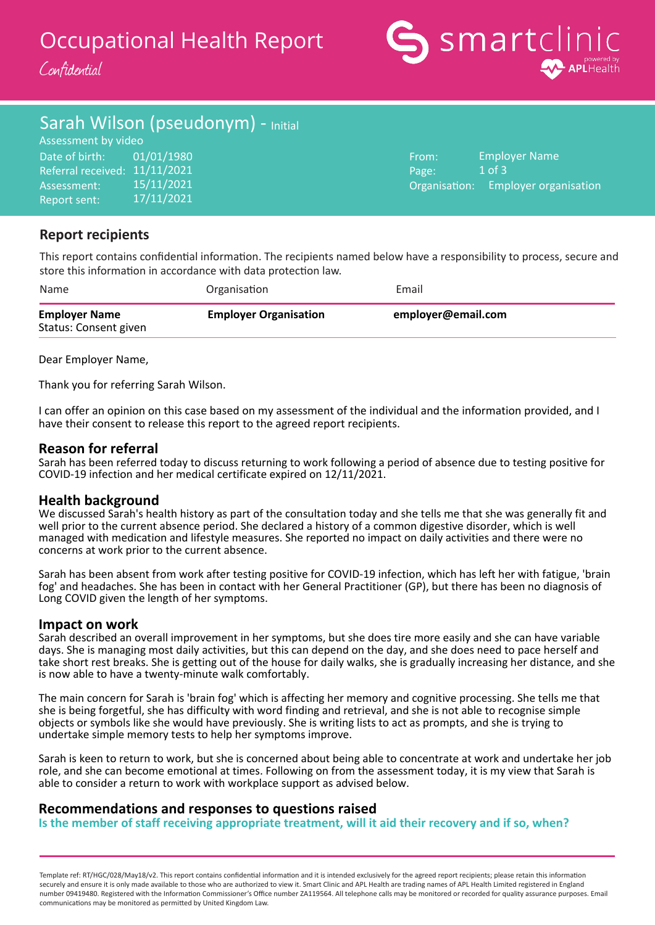# Occupational Health Report

Confidential



# Sarah Wilson (pseudonym) - Initial

Date of birth: Referral received: 11/11/2021 Assessment: Report sent: Assessment by video 01/01/1980 15/11/2021 17/11/2021

From: Page: Organisation: Employer Name 1 of 3 Employer organisation

# **Report recipients**

This report contains confidential information. The recipients named below have a responsibility to process, secure and store this information in accordance with data protection law.

| Name                                          | Organisation                 | Email              |
|-----------------------------------------------|------------------------------|--------------------|
| <b>Employer Name</b><br>Status: Consent given | <b>Employer Organisation</b> | employer@email.com |

Dear Employer Name,

Thank you for referring Sarah Wilson.

I can offer an opinion on this case based on my assessment of the individual and the information provided, and I have their consent to release this report to the agreed report recipients.

## **Reason for referral**

Sarah has been referred today to discuss returning to work following a period of absence due to testing positive for COVID-19 infection and her medical certificate expired on 12/11/2021.

## **Health background**

We discussed Sarah's health history as part of the consultation today and she tells me that she was generally fit and well prior to the current absence period. She declared a history of a common digestive disorder, which is well managed with medication and lifestyle measures. She reported no impact on daily activities and there were no concerns at work prior to the current absence.

Sarah has been absent from work after testing positive for COVID-19 infection, which has left her with fatigue, 'brain fog' and headaches. She has been in contact with her General Practitioner (GP), but there has been no diagnosis of Long COVID given the length of her symptoms.

## **Impact on work**

Sarah described an overall improvement in her symptoms, but she does tire more easily and she can have variable days. She is managing most daily activities, but this can depend on the day, and she does need to pace herself and take short rest breaks. She is getting out of the house for daily walks, she is gradually increasing her distance, and she is now able to have a twenty-minute walk comfortably.

The main concern for Sarah is 'brain fog' which is affecting her memory and cognitive processing. She tells me that she is being forgetful, she has difficulty with word finding and retrieval, and she is not able to recognise simple objects or symbols like she would have previously. She is writing lists to act as prompts, and she is trying to undertake simple memory tests to help her symptoms improve.

Sarah is keen to return to work, but she is concerned about being able to concentrate at work and undertake her job role, and she can become emotional at times. Following on from the assessment today, it is my view that Sarah is able to consider a return to work with workplace support as advised below.

## **Recommendations and responses to questions raised**

**Is the member of staff receiving appropriate treatment, will it aid their recovery and if so, when?**

Template ref: RT/HGC/028/May18/v2. This report contains confidential information and it is intended exclusively for the agreed report recipients; please retain this information securely and ensure it is only made available to those who are authorized to view it. Smart Clinic and APL Health are trading names of APL Health Limited registered in England number 09419480. Registered with the Information Commissioner's Office number ZA119564. All telephone calls may be monitored or recorded for quality assurance purposes. Email communications may be monitored as permitted by United Kingdom Law.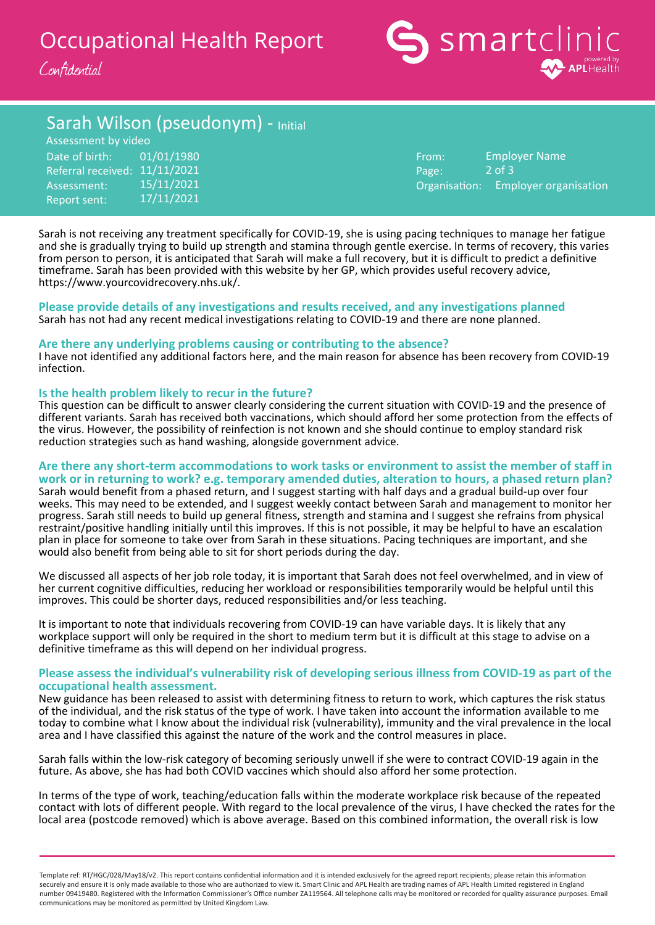# Occupational Health Report

Confidential



# Sarah Wilson (pseudonym) - Initial

Date of birth: Referral received: 11/11/2021 Assessment: Report sent: Assessment by video 01/01/1980 15/11/2021 17/11/2021

From: Page: Organisation: Employer Name 2 of 3 Employer organisation

Sarah is not receiving any treatment specifically for COVID-19, she is using pacing techniques to manage her fatigue and she is gradually trying to build up strength and stamina through gentle exercise. In terms of recovery, this varies from person to person, it is anticipated that Sarah will make a full recovery, but it is difficult to predict a definitive timeframe. Sarah has been provided with this website by her GP, which provides useful recovery advice, https://www.yourcovidrecovery.nhs.uk/.

#### **Please provide details of any investigations and results received, and any investigations planned** Sarah has not had any recent medical investigations relating to COVID-19 and there are none planned.

#### **Are there any underlying problems causing or contributing to the absence?**

I have not identified any additional factors here, and the main reason for absence has been recovery from COVID-19 infection.

#### **Is the health problem likely to recur in the future?**

This question can be difficult to answer clearly considering the current situation with COVID-19 and the presence of different variants. Sarah has received both vaccinations, which should afford her some protection from the effects of the virus. However, the possibility of reinfection is not known and she should continue to employ standard risk reduction strategies such as hand washing, alongside government advice.

#### **Are there any short-term accommodations to work tasks or environment to assist the member of staff in work or in returning to work? e.g. temporary amended duties, alteration to hours, a phased return plan?**

Sarah would benefit from a phased return, and I suggest starting with half days and a gradual build-up over four weeks. This may need to be extended, and I suggest weekly contact between Sarah and management to monitor her progress. Sarah still needs to build up general fitness, strength and stamina and I suggest she refrains from physical restraint/positive handling initially until this improves. If this is not possible, it may be helpful to have an escalation plan in place for someone to take over from Sarah in these situations. Pacing techniques are important, and she would also benefit from being able to sit for short periods during the day.

We discussed all aspects of her job role today, it is important that Sarah does not feel overwhelmed, and in view of her current cognitive difficulties, reducing her workload or responsibilities temporarily would be helpful until this improves. This could be shorter days, reduced responsibilities and/or less teaching.

It is important to note that individuals recovering from COVID-19 can have variable days. It is likely that any workplace support will only be required in the short to medium term but it is difficult at this stage to advise on a definitive timeframe as this will depend on her individual progress.

#### **Please assess the individual's vulnerability risk of developing serious illness from COVID-19 as part of the occupational health assessment.**

New guidance has been released to assist with determining fitness to return to work, which captures the risk status of the individual, and the risk status of the type of work. I have taken into account the information available to me today to combine what I know about the individual risk (vulnerability), immunity and the viral prevalence in the local area and I have classified this against the nature of the work and the control measures in place.

Sarah falls within the low-risk category of becoming seriously unwell if she were to contract COVID-19 again in the future. As above, she has had both COVID vaccines which should also afford her some protection.

In terms of the type of work, teaching/education falls within the moderate workplace risk because of the repeated contact with lots of different people. With regard to the local prevalence of the virus, I have checked the rates for the local area (postcode removed) which is above average. Based on this combined information, the overall risk is low

Template ref: RT/HGC/028/May18/v2. This report contains confidential information and it is intended exclusively for the agreed report recipients; please retain this information securely and ensure it is only made available to those who are authorized to view it. Smart Clinic and APL Health are trading names of APL Health Limited registered in England number 09419480. Registered with the Information Commissioner's Office number ZA119564. All telephone calls may be monitored or recorded for quality assurance purposes. Email communications may be monitored as permitted by United Kingdom Law.